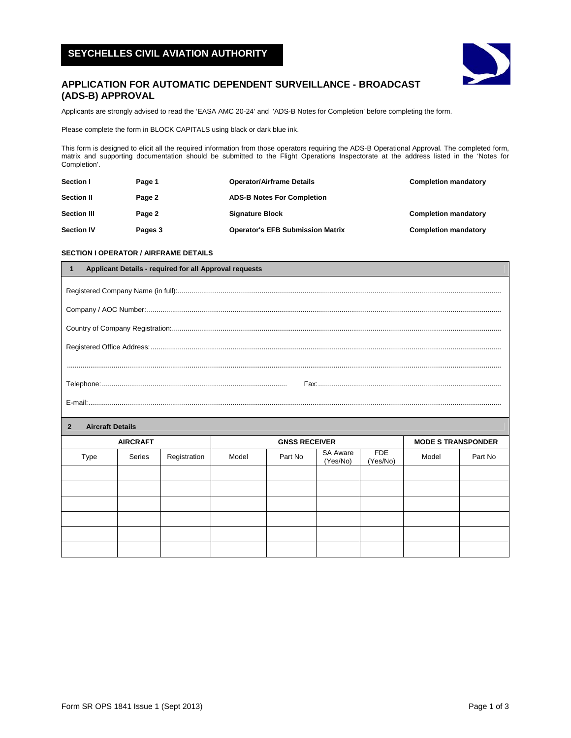# **SEYCHELLES CIVIL AVIATION AUTHORITY**



## **APPLICATION FOR AUTOMATIC DEPENDENT SURVEILLANCE - BROADCAST (ADS-B) APPROVAL**

Applicants are strongly advised to read the 'EASA AMC 20-24' and 'ADS-B Notes for Completion' before completing the form.

Please complete the form in BLOCK CAPITALS using black or dark blue ink.

This form is designed to elicit all the required information from those operators requiring the ADS-B Operational Approval. The completed form, matrix and supporting documentation should be submitted to the Flight Operations Inspectorate at the address listed in the 'Notes for Completion'.

| <b>Section I</b>   | Page 1  | <b>Operator/Airframe Details</b>        | <b>Completion mandatory</b> |
|--------------------|---------|-----------------------------------------|-----------------------------|
| <b>Section II</b>  | Page 2  | <b>ADS-B Notes For Completion</b>       |                             |
| <b>Section III</b> | Page 2  | <b>Signature Block</b>                  | <b>Completion mandatory</b> |
| <b>Section IV</b>  | Pages 3 | <b>Operator's EFB Submission Matrix</b> | <b>Completion mandatory</b> |

## **SECTION I OPERATOR / AIRFRAME DETAILS**

| Applicant Details - required for all Approval requests |                 |              |                      |         |                             |                        |       |         |
|--------------------------------------------------------|-----------------|--------------|----------------------|---------|-----------------------------|------------------------|-------|---------|
|                                                        |                 |              |                      |         |                             |                        |       |         |
|                                                        |                 |              |                      |         |                             |                        |       |         |
|                                                        |                 |              |                      |         |                             |                        |       |         |
|                                                        |                 |              |                      |         |                             |                        |       |         |
|                                                        |                 |              |                      |         |                             |                        |       |         |
|                                                        |                 |              |                      |         |                             |                        |       |         |
|                                                        |                 |              |                      |         |                             |                        |       |         |
| <b>Aircraft Details</b><br>$\mathbf{2}$                |                 |              |                      |         |                             |                        |       |         |
|                                                        | <b>AIRCRAFT</b> |              | <b>GNSS RECEIVER</b> |         | <b>MODE S TRANSPONDER</b>   |                        |       |         |
| Type                                                   | Series          | Registration | Model                | Part No | <b>SA Aware</b><br>(Yes/No) | <b>FDE</b><br>(Yes/No) | Model | Part No |
|                                                        |                 |              |                      |         |                             |                        |       |         |
|                                                        |                 |              |                      |         |                             |                        |       |         |
|                                                        |                 |              |                      |         |                             |                        |       |         |
|                                                        |                 |              |                      |         |                             |                        |       |         |
|                                                        |                 |              |                      |         |                             |                        |       |         |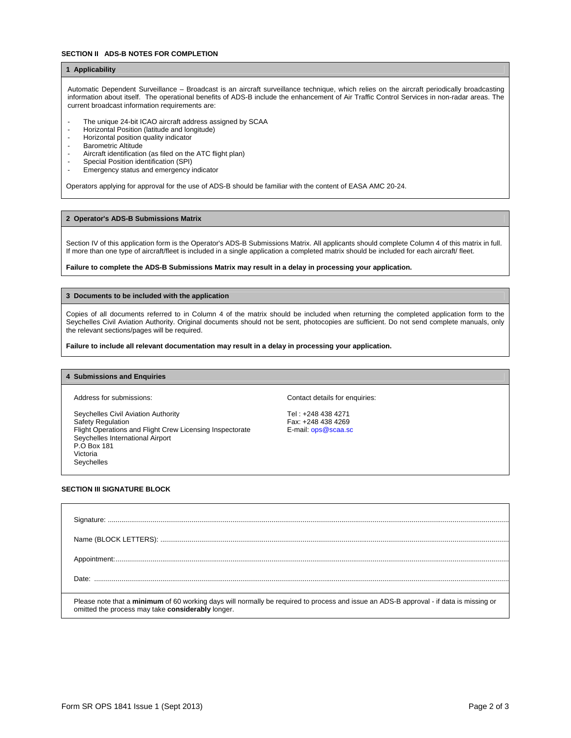#### **SECTION II ADS-B NOTES FOR COMPLETION**

## **1 Applicability**

Automatic Dependent Surveillance – Broadcast is an aircraft surveillance technique, which relies on the aircraft periodically broadcasting information about itself. The operational benefits of ADS-B include the enhancement of Air Traffic Control Services in non-radar areas. The current broadcast information requirements are:

- The unique 24-bit ICAO aircraft address assigned by SCAA
- Horizontal Position (latitude and longitude)
- Horizontal position quality indicator
- Barometric Altitude
- Aircraft identification (as filed on the ATC flight plan)
- Special Position identification (SPI)
- Emergency status and emergency indicator

Operators applying for approval for the use of ADS-B should be familiar with the content of EASA AMC 20-24.

#### **2 Operator's ADS-B Submissions Matrix**

Section IV of this application form is the Operator's ADS-B Submissions Matrix. All applicants should complete Column 4 of this matrix in full. If more than one type of aircraft/fleet is included in a single application a completed matrix should be included for each aircraft/ fleet.

#### **Failure to complete the ADS-B Submissions Matrix may result in a delay in processing your application.**

#### **3 Documents to be included with the application**

Copies of all documents referred to in Column 4 of the matrix should be included when returning the completed application form to the Seychelles Civil Aviation Authority. Original documents should not be sent, photocopies are sufficient. Do not send complete manuals, only the relevant sections/pages will be required.

**Failure to include all relevant documentation may result in a delay in processing your application.**

#### **4 Submissions and Enquiries**

Seychelles Civil Aviation Authority Tel: +248 438 4271 Safety Regulation<br>Flight Operations and Flight Crew Licensing Inspectorate F-mail: ops@scaa.sc Flight Operations and Flight Crew Licensing Inspectorate Seychelles International Airport

Address for submissions: Contact details for enquiries: Contact details for enquiries:

#### **SECTION III SIGNATURE BLOCK**

P.O Box 181 Victoria Seychelles

| Please note that a minimum of 60 working days will normally be required to process and issue an ADS-B approval - if data is missing or<br>omitted the process may take considerably longer. |
|---------------------------------------------------------------------------------------------------------------------------------------------------------------------------------------------|